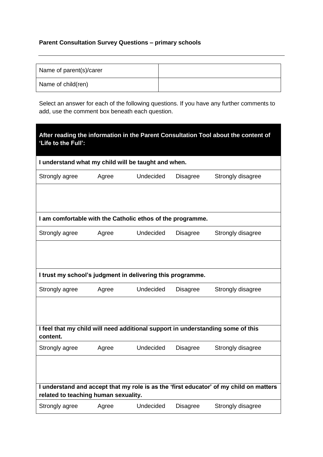## **Parent Consultation Survey Questions – primary schools**

| Name of parent(s)/carer |  |
|-------------------------|--|
| Name of child(ren)      |  |

Select an answer for each of the following questions. If you have any further comments to add, use the comment box beneath each question.

| 'Life to the Full':                                                                         |       |           |                 | After reading the information in the Parent Consultation Tool about the content of     |
|---------------------------------------------------------------------------------------------|-------|-----------|-----------------|----------------------------------------------------------------------------------------|
| I understand what my child will be taught and when.                                         |       |           |                 |                                                                                        |
| Strongly agree                                                                              | Agree | Undecided | Disagree        | Strongly disagree                                                                      |
|                                                                                             |       |           |                 |                                                                                        |
| I am comfortable with the Catholic ethos of the programme.                                  |       |           |                 |                                                                                        |
| Strongly agree                                                                              | Agree | Undecided | Disagree        | Strongly disagree                                                                      |
|                                                                                             |       |           |                 |                                                                                        |
| I trust my school's judgment in delivering this programme.                                  |       |           |                 |                                                                                        |
| Strongly agree                                                                              | Agree | Undecided | <b>Disagree</b> | Strongly disagree                                                                      |
|                                                                                             |       |           |                 |                                                                                        |
| I feel that my child will need additional support in understanding some of this<br>content. |       |           |                 |                                                                                        |
| Strongly agree                                                                              | Agree | Undecided | <b>Disagree</b> | Strongly disagree                                                                      |
|                                                                                             |       |           |                 |                                                                                        |
| related to teaching human sexuality.                                                        |       |           |                 | I understand and accept that my role is as the 'first educator' of my child on matters |
| Strongly agree                                                                              | Agree | Undecided | Disagree        | Strongly disagree                                                                      |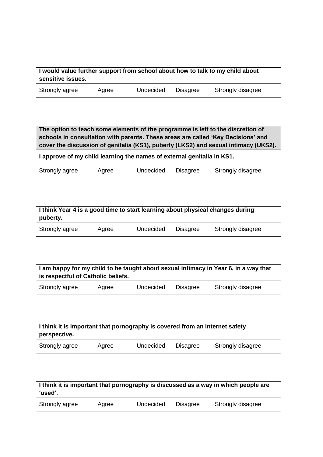| sensitive issues.                                                                           |       |           |                 | I would value further support from school about how to talk to my child about                                                                                                                                                                              |
|---------------------------------------------------------------------------------------------|-------|-----------|-----------------|------------------------------------------------------------------------------------------------------------------------------------------------------------------------------------------------------------------------------------------------------------|
| Strongly agree                                                                              | Agree | Undecided | <b>Disagree</b> | Strongly disagree                                                                                                                                                                                                                                          |
|                                                                                             |       |           |                 |                                                                                                                                                                                                                                                            |
|                                                                                             |       |           |                 | The option to teach some elements of the programme is left to the discretion of<br>schools in consultation with parents. These areas are called 'Key Decisions' and<br>cover the discussion of genitalia (KS1), puberty (LKS2) and sexual intimacy (UKS2). |
| I approve of my child learning the names of external genitalia in KS1.                      |       |           |                 |                                                                                                                                                                                                                                                            |
| Strongly agree                                                                              | Agree | Undecided | <b>Disagree</b> | Strongly disagree                                                                                                                                                                                                                                          |
|                                                                                             |       |           |                 |                                                                                                                                                                                                                                                            |
| I think Year 4 is a good time to start learning about physical changes during<br>puberty.   |       |           |                 |                                                                                                                                                                                                                                                            |
| Strongly agree                                                                              | Agree | Undecided | <b>Disagree</b> | Strongly disagree                                                                                                                                                                                                                                          |
|                                                                                             |       |           |                 |                                                                                                                                                                                                                                                            |
| is respectful of Catholic beliefs.                                                          |       |           |                 | I am happy for my child to be taught about sexual intimacy in Year 6, in a way that                                                                                                                                                                        |
| Strongly agree                                                                              | Agree | Undecided | <b>Disagree</b> | Strongly disagree                                                                                                                                                                                                                                          |
|                                                                                             |       |           |                 |                                                                                                                                                                                                                                                            |
| I think it is important that pornography is covered from an internet safety<br>perspective. |       |           |                 |                                                                                                                                                                                                                                                            |
| Strongly agree                                                                              | Agree | Undecided | <b>Disagree</b> | Strongly disagree                                                                                                                                                                                                                                          |
|                                                                                             |       |           |                 |                                                                                                                                                                                                                                                            |
| 'used'.                                                                                     |       |           |                 | I think it is important that pornography is discussed as a way in which people are                                                                                                                                                                         |
| Strongly agree                                                                              | Agree | Undecided | <b>Disagree</b> | Strongly disagree                                                                                                                                                                                                                                          |

ן